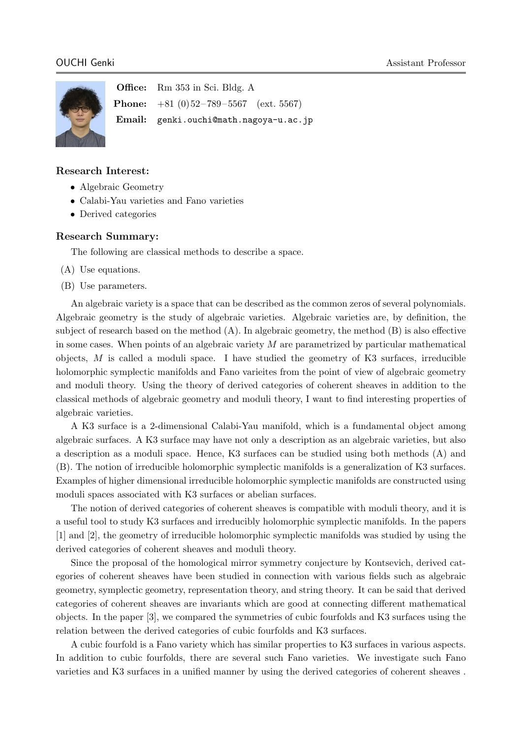

Office: Rm 353 in Sci. Bldg. A **Phone:**  $+81$  (0)  $52-789-5567$  (ext. 5567) Email: genki.ouchi@math.nagoya-u.ac.jp

### Research Interest:

- Algebraic Geometry
- Calabi-Yau varieties and Fano varieties
- Derived categories

### Research Summary:

The following are classical methods to describe a space.

- (A) Use equations.
- (B) Use parameters.

An algebraic variety is a space that can be described as the common zeros of several polynomials. Algebraic geometry is the study of algebraic varieties. Algebraic varieties are, by definition, the subject of research based on the method (A). In algebraic geometry, the method (B) is also effective in some cases. When points of an algebraic variety  $M$  are parametrized by particular mathematical objects,  $M$  is called a moduli space. I have studied the geometry of K3 surfaces, irreducible holomorphic symplectic manifolds and Fano varieites from the point of view of algebraic geometry and moduli theory. Using the theory of derived categories of coherent sheaves in addition to the classical methods of algebraic geometry and moduli theory, I want to find interesting properties of algebraic varieties.

A K3 surface is a 2-dimensional Calabi-Yau manifold, which is a fundamental object among algebraic surfaces. A K3 surface may have not only a description as an algebraic varieties, but also a description as a moduli space. Hence, K3 surfaces can be studied using both methods (A) and (B). The notion of irreducible holomorphic symplectic manifolds is a generalization of K3 surfaces. Examples of higher dimensional irreducible holomorphic symplectic manifolds are constructed using moduli spaces associated with K3 surfaces or abelian surfaces.

The notion of derived categories of coherent sheaves is compatible with moduli theory, and it is a useful tool to study K3 surfaces and irreducibly holomorphic symplectic manifolds. In the papers [1] and [2], the geometry of irreducible holomorphic symplectic manifolds was studied by using the derived categories of coherent sheaves and moduli theory.

Since the proposal of the homological mirror symmetry conjecture by Kontsevich, derived categories of coherent sheaves have been studied in connection with various fields such as algebraic geometry, symplectic geometry, representation theory, and string theory. It can be said that derived categories of coherent sheaves are invariants which are good at connecting different mathematical objects. In the paper [3], we compared the symmetries of cubic fourfolds and K3 surfaces using the relation between the derived categories of cubic fourfolds and K3 surfaces.

A cubic fourfold is a Fano variety which has similar properties to K3 surfaces in various aspects. In addition to cubic fourfolds, there are several such Fano varieties. We investigate such Fano varieties and K3 surfaces in a unified manner by using the derived categories of coherent sheaves .